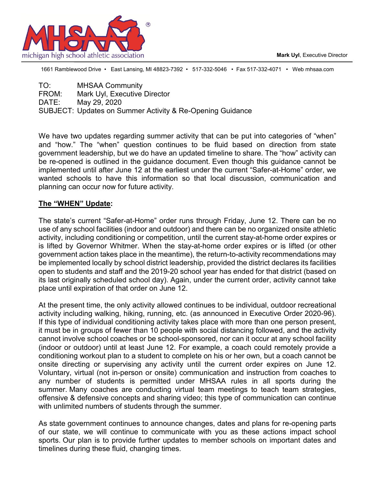**Mark Uyl**, Executive Director



1661 Ramblewood Drive • East Lansing, MI 48823-7392 • 517-332-5046 • Fax 517-332-4071 • Web mhsaa.com

| <b>MHSAA Community</b>                                    |
|-----------------------------------------------------------|
| Mark Uyl, Executive Director                              |
| May 29, 2020                                              |
| SUBJECT: Updates on Summer Activity & Re-Opening Guidance |
|                                                           |

We have two updates regarding summer activity that can be put into categories of "when" and "how." The "when" question continues to be fluid based on direction from state government leadership, but we do have an updated timeline to share. The "how" activity can be re-opened is outlined in the guidance document. Even though this guidance cannot be implemented until after June 12 at the earliest under the current "Safer-at-Home" order, we wanted schools to have this information so that local discussion, communication and planning can occur now for future activity.

#### **The "WHEN" Update:**

The state's current "Safer-at-Home" order runs through Friday, June 12. There can be no use of any school facilities (indoor and outdoor) and there can be no organized onsite athletic activity, including conditioning or competition, until the current stay-at-home order expires or is lifted by Governor Whitmer. When the stay-at-home order expires or is lifted (or other government action takes place in the meantime), the return-to-activity recommendations may be implemented locally by school district leadership, provided the district declares its facilities open to students and staff and the 2019-20 school year has ended for that district (based on its last originally scheduled school day). Again, under the current order, activity cannot take place until expiration of that order on June 12.

At the present time, the only activity allowed continues to be individual, outdoor recreational activity including walking, hiking, running, etc. (as announced in Executive Order 2020-96). If this type of individual conditioning activity takes place with more than one person present, it must be in groups of fewer than 10 people with social distancing followed, and the activity cannot involve school coaches or be school-sponsored, nor can it occur at any school facility (indoor or outdoor) until at least June 12. For example, a coach could remotely provide a conditioning workout plan to a student to complete on his or her own, but a coach cannot be onsite directing or supervising any activity until the current order expires on June 12. Voluntary, virtual (not in-person or onsite) communication and instruction from coaches to any number of students is permitted under MHSAA rules in all sports during the summer. Many coaches are conducting virtual team meetings to teach team strategies, offensive & defensive concepts and sharing video; this type of communication can continue with unlimited numbers of students through the summer.

As state government continues to announce changes, dates and plans for re-opening parts of our state, we will continue to communicate with you as these actions impact school sports. Our plan is to provide further updates to member schools on important dates and timelines during these fluid, changing times.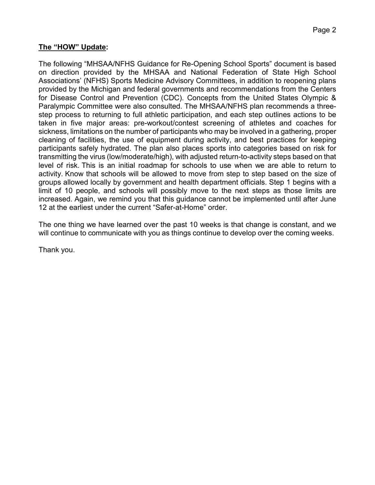#### **The "HOW" Update:**

The following "MHSAA/NFHS Guidance for Re-Opening School Sports" document is based on direction provided by the MHSAA and National Federation of State High School Associations' (NFHS) Sports Medicine Advisory Committees, in addition to reopening plans provided by the Michigan and federal governments and recommendations from the Centers for Disease Control and Prevention (CDC). Concepts from the United States Olympic & Paralympic Committee were also consulted. The MHSAA/NFHS plan recommends a threestep process to returning to full athletic participation, and each step outlines actions to be taken in five major areas: pre-workout/contest screening of athletes and coaches for sickness, limitations on the number of participants who may be involved in a gathering, proper cleaning of facilities, the use of equipment during activity, and best practices for keeping participants safely hydrated. The plan also places sports into categories based on risk for transmitting the virus (low/moderate/high), with adjusted return-to-activity steps based on that level of risk. This is an initial roadmap for schools to use when we are able to return to activity. Know that schools will be allowed to move from step to step based on the size of groups allowed locally by government and health department officials. Step 1 begins with a limit of 10 people, and schools will possibly move to the next steps as those limits are increased. Again, we remind you that this guidance cannot be implemented until after June 12 at the earliest under the current "Safer-at-Home" order.

The one thing we have learned over the past 10 weeks is that change is constant, and we will continue to communicate with you as things continue to develop over the coming weeks.

Thank you.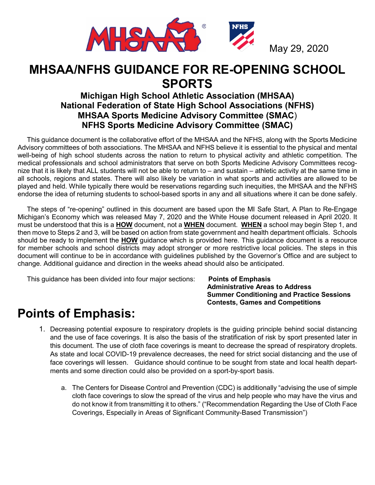

# **MHSAA/NFHS GUIDANCE FOR RE-OPENING SCHOOL SPORTS**

# **Michigan High School Athletic Association (MHSAA) National Federation of State High School Associations (NFHS) MHSAA Sports Medicine Advisory Committee (SMAC**) **NFHS Sports Medicine Advisory Committee (SMAC)**

 This guidance document is the collaborative effort of the MHSAA and the NFHS, along with the Sports Medicine Advisory committees of both associations. The MHSAA and NFHS believe it is essential to the physical and mental well-being of high school students across the nation to return to physical activity and athletic competition. The medical professionals and school administrators that serve on both Sports Medicine Advisory Committees recognize that it is likely that ALL students will not be able to return to – and sustain – athletic activity at the same time in all schools, regions and states. There will also likely be variation in what sports and activities are allowed to be played and held. While typically there would be reservations regarding such inequities, the MHSAA and the NFHS endorse the idea of returning students to school-based sports in any and all situations where it can be done safely.

 The steps of "re-opening" outlined in this document are based upon the MI Safe Start, A Plan to Re-Engage Michigan's Economy which was released May 7, 2020 and the White House document released in April 2020. It must be understood that this is a **HOW** document, not a **WHEN** document. **WHEN** a school may begin Step 1, and then move to Steps 2 and 3, will be based on action from state government and health department officials. Schools should be ready to implement the **HOW** guidance which is provided here. This guidance document is a resource for member schools and school districts may adopt stronger or more restrictive local policies. The steps in this document will continue to be in accordance with guidelines published by the Governor's Office and are subject to change. Additional guidance and direction in the weeks ahead should also be anticipated.

This guidance has been divided into four major sections: **Points of Emphasis**

 **Administrative Areas to Address Summer Conditioning and Practice Sessions Contests, Games and Competitions**

# **Points of Emphasis:**

- 1. Decreasing potential exposure to respiratory droplets is the guiding principle behind social distancing and the use of face coverings. It is also the basis of the stratification of risk by sport presented later in this document. The use of cloth face coverings is meant to decrease the spread of respiratory droplets. As state and local COVID-19 prevalence decreases, the need for strict social distancing and the use of face coverings will lessen. Guidance should continue to be sought from state and local health departments and some direction could also be provided on a sport-by-sport basis.
	- a. The Centers for Disease Control and Prevention (CDC) is additionally "advising the use of simple cloth face coverings to slow the spread of the virus and help people who may have the virus and do not know it from transmitting it to others." ("Recommendation Regarding the Use of Cloth Face Coverings, Especially in Areas of Significant Community-Based Transmission")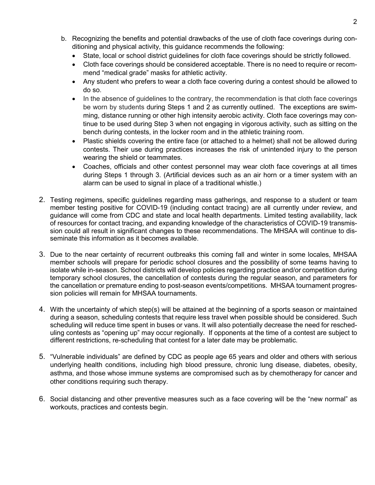- b. Recognizing the benefits and potential drawbacks of the use of cloth face coverings during conditioning and physical activity, this guidance recommends the following:
	- State, local or school district guidelines for cloth face coverings should be strictly followed.
	- Cloth face coverings should be considered acceptable. There is no need to require or recommend "medical grade" masks for athletic activity.
	- Any student who prefers to wear a cloth face covering during a contest should be allowed to do so.
	- In the absence of guidelines to the contrary, the recommendation is that cloth face coverings be worn by students during Steps 1 and 2 as currently outlined. The exceptions are swimming, distance running or other high intensity aerobic activity. Cloth face coverings may continue to be used during Step 3 when not engaging in vigorous activity, such as sitting on the bench during contests, in the locker room and in the athletic training room.
	- Plastic shields covering the entire face (or attached to a helmet) shall not be allowed during contests. Their use during practices increases the risk of unintended injury to the person wearing the shield or teammates.
	- Coaches, officials and other contest personnel may wear cloth face coverings at all times during Steps 1 through 3. (Artificial devices such as an air horn or a timer system with an alarm can be used to signal in place of a traditional whistle.)
- 2. Testing regimens, specific guidelines regarding mass gatherings, and response to a student or team member testing positive for COVID-19 (including contact tracing) are all currently under review, and guidance will come from CDC and state and local health departments. Limited testing availability, lack of resources for contact tracing, and expanding knowledge of the characteristics of COVID-19 transmission could all result in significant changes to these recommendations. The MHSAA will continue to disseminate this information as it becomes available.
- 3. Due to the near certainty of recurrent outbreaks this coming fall and winter in some locales, MHSAA member schools will prepare for periodic school closures and the possibility of some teams having to isolate while in-season. School districts will develop policies regarding practice and/or competition during temporary school closures, the cancellation of contests during the regular season, and parameters for the cancellation or premature ending to post-season events/competitions. MHSAA tournament progression policies will remain for MHSAA tournaments.
- 4. With the uncertainty of which step(s) will be attained at the beginning of a sports season or maintained during a season, scheduling contests that require less travel when possible should be considered. Such scheduling will reduce time spent in buses or vans. It will also potentially decrease the need for rescheduling contests as "opening up" may occur regionally. If opponents at the time of a contest are subject to different restrictions, re-scheduling that contest for a later date may be problematic.
- 5. "Vulnerable individuals" are defined by CDC as people age 65 years and older and others with serious underlying health conditions, including high blood pressure, chronic lung disease, diabetes, obesity, asthma, and those whose immune systems are compromised such as by chemotherapy for cancer and other conditions requiring such therapy.
- 6. Social distancing and other preventive measures such as a face covering will be the "new normal" as workouts, practices and contests begin.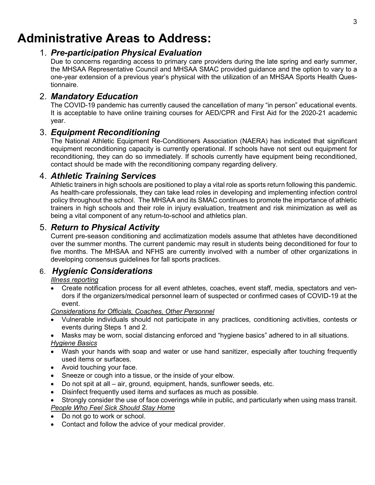# **Administrative Areas to Address:**

## 1. *Pre-participation Physical Evaluation*

Due to concerns regarding access to primary care providers during the late spring and early summer, the MHSAA Representative Council and MHSAA SMAC provided guidance and the option to vary to a one-year extension of a previous year's physical with the utilization of an MHSAA Sports Health Questionnaire.

# 2. *Mandatory Education*

The COVID-19 pandemic has currently caused the cancellation of many "in person" educational events. It is acceptable to have online training courses for AED/CPR and First Aid for the 2020-21 academic year.

## 3. *Equipment Reconditioning*

The National Athletic Equipment Re-Conditioners Association (NAERA) has indicated that significant equipment reconditioning capacity is currently operational. If schools have not sent out equipment for reconditioning, they can do so immediately. If schools currently have equipment being reconditioned, contact should be made with the reconditioning company regarding delivery.

# 4. *Athletic Training Services*

Athletic trainers in high schools are positioned to play a vital role as sports return following this pandemic. As health-care professionals, they can take lead roles in developing and implementing infection control policy throughout the school. The MHSAA and its SMAC continues to promote the importance of athletic trainers in high schools and their role in injury evaluation, treatment and risk minimization as well as being a vital component of any return-to-school and athletics plan.

# 5. *Return to Physical Activity*

Current pre-season conditioning and acclimatization models assume that athletes have deconditioned over the summer months. The current pandemic may result in students being deconditioned for four to five months. The MHSAA and NFHS are currently involved with a number of other organizations in developing consensus guidelines for fall sports practices.

## 6. *Hygienic Considerations*

*Illness reporting*

• Create notification process for all event athletes, coaches, event staff, media, spectators and vendors if the organizers/medical personnel learn of suspected or confirmed cases of COVID-19 at the event.

*Considerations for Officials, Coaches, Other Personnel*

- Vulnerable individuals should not participate in any practices, conditioning activities, contests or events during Steps 1 and 2.
- Masks may be worn, social distancing enforced and "hygiene basics" adhered to in all situations.

# *Hygiene Basics*

- Wash your hands with soap and water or use hand sanitizer, especially after touching frequently used items or surfaces.
- Avoid touching your face.
- Sneeze or cough into a tissue, or the inside of your elbow.
- Do not spit at all air, ground, equipment, hands, sunflower seeds, etc.
- Disinfect frequently used items and surfaces as much as possible.
- Strongly consider the use of face coverings while in public, and particularly when using mass transit. *People Who Feel Sick Should Stay Home*
- Do not go to work or school.
- Contact and follow the advice of your medical provider.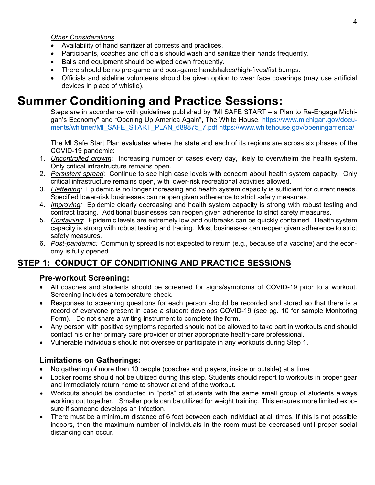#### *Other Considerations*

- Availability of hand sanitizer at contests and practices.
- Participants, coaches and officials should wash and sanitize their hands frequently.
- Balls and equipment should be wiped down frequently.
- There should be no pre-game and post-game handshakes/high-fives/fist bumps.
- Officials and sideline volunteers should be given option to wear face coverings (may use artificial devices in place of whistle).

# **Summer Conditioning and Practice Sessions:**

Steps are in accordance with guidelines published by "MI SAFE START – a Plan to Re-Engage Michigan's Economy" and "Opening Up America Again", The White House. [https://www.michigan.gov/docu](https://www.michigan.gov/documents/whitmer/MI_SAFE_START_PLAN_689875_7.pdf)[ments/whitmer/MI\\_SAFE\\_START\\_PLAN\\_689875\\_7.pdf](https://www.michigan.gov/documents/whitmer/MI_SAFE_START_PLAN_689875_7.pdf) <https://www.whitehouse.gov/openingamerica/>

The MI Safe Start Plan evaluates where the state and each of its regions are across six phases of the COVID-19 pandemic:

- 1. *Uncontrolled growth*: Increasing number of cases every day, likely to overwhelm the health system. Only critical infrastructure remains open.
- 2. *Persistent spread*: Continue to see high case levels with concern about health system capacity. Only critical infrastructure remains open, with lower-risk recreational activities allowed.
- 3. *Flattening:* Epidemic is no longer increasing and health system capacity is sufficient for current needs. Specified lower-risk businesses can reopen given adherence to strict safety measures.
- 4. *Improving:* Epidemic clearly decreasing and health system capacity is strong with robust testing and contract tracing. Additional businesses can reopen given adherence to strict safety measures.
- 5. *Containing*: Epidemic levels are extremely low and outbreaks can be quickly contained. Health system capacity is strong with robust testing and tracing. Most businesses can reopen given adherence to strict safety measures.
- 6. *Post-pandemic:* Community spread is not expected to return (e.g., because of a vaccine) and the economy is fully opened.

# **STEP 1: CONDUCT OF CONDITIONING AND PRACTICE SESSIONS**

#### **Pre-workout Screening:**

- All coaches and students should be screened for signs/symptoms of COVID-19 prior to a workout. Screening includes a temperature check.
- Responses to screening questions for each person should be recorded and stored so that there is a record of everyone present in case a student develops COVID-19 (see pg. 10 for sample Monitoring Form). Do not share a writing instrument to complete the form.
- Any person with positive symptoms reported should not be allowed to take part in workouts and should contact his or her primary care provider or other appropriate health-care professional.
- Vulnerable individuals should not oversee or participate in any workouts during Step 1.

## **Limitations on Gatherings:**

- No gathering of more than 10 people (coaches and players, inside or outside) at a time.
- Locker rooms should not be utilized during this step. Students should report to workouts in proper gear and immediately return home to shower at end of the workout.
- Workouts should be conducted in "pods" of students with the same small group of students always working out together. Smaller pods can be utilized for weight training. This ensures more limited exposure if someone develops an infection.
- There must be a minimum distance of 6 feet between each individual at all times. If this is not possible indoors, then the maximum number of individuals in the room must be decreased until proper social distancing can occur.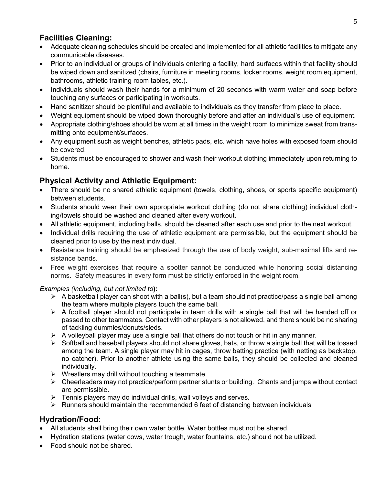# **Facilities Cleaning:**

- Adequate cleaning schedules should be created and implemented for all athletic facilities to mitigate any communicable diseases.
- Prior to an individual or groups of individuals entering a facility, hard surfaces within that facility should be wiped down and sanitized (chairs, furniture in meeting rooms, locker rooms, weight room equipment, bathrooms, athletic training room tables, etc.).
- Individuals should wash their hands for a minimum of 20 seconds with warm water and soap before touching any surfaces or participating in workouts.
- Hand sanitizer should be plentiful and available to individuals as they transfer from place to place.
- Weight equipment should be wiped down thoroughly before and after an individual's use of equipment.
- Appropriate clothing/shoes should be worn at all times in the weight room to minimize sweat from transmitting onto equipment/surfaces.
- Any equipment such as weight benches, athletic pads, etc. which have holes with exposed foam should be covered.
- Students must be encouraged to shower and wash their workout clothing immediately upon returning to home.

## **Physical Activity and Athletic Equipment:**

- There should be no shared athletic equipment (towels, clothing, shoes, or sports specific equipment) between students.
- Students should wear their own appropriate workout clothing (do not share clothing) individual clothing/towels should be washed and cleaned after every workout.
- All athletic equipment, including balls, should be cleaned after each use and prior to the next workout.
- Individual drills requiring the use of athletic equipment are permissible, but the equipment should be cleaned prior to use by the next individual.
- Resistance training should be emphasized through the use of body weight, sub-maximal lifts and resistance bands.
- Free weight exercises that require a spotter cannot be conducted while honoring social distancing norms. Safety measures in every form must be strictly enforced in the weight room.

#### *Examples (including, but not limited to***):**

- $\triangleright$  A basketball player can shoot with a ball(s), but a team should not practice/pass a single ball among the team where multiple players touch the same ball.
- $\triangleright$  A football player should not participate in team drills with a single ball that will be handed off or passed to other teammates. Contact with other players is not allowed, and there should be no sharing of tackling dummies/donuts/sleds.
- $\triangleright$  A volleyball player may use a single ball that others do not touch or hit in any manner.
- $\triangleright$  Softball and baseball players should not share gloves, bats, or throw a single ball that will be tossed among the team. A single player may hit in cages, throw batting practice (with netting as backstop, no catcher). Prior to another athlete using the same balls, they should be collected and cleaned individually.
- $\triangleright$  Wrestlers may drill without touching a teammate.
- $\triangleright$  Cheerleaders may not practice/perform partner stunts or building. Chants and jumps without contact are permissible.
- $\triangleright$  Tennis players may do individual drills, wall volleys and serves.
- $\triangleright$  Runners should maintain the recommended 6 feet of distancing between individuals

## **Hydration/Food:**

- All students shall bring their own water bottle. Water bottles must not be shared.
- Hydration stations (water cows, water trough, water fountains, etc.) should not be utilized.
- Food should not be shared.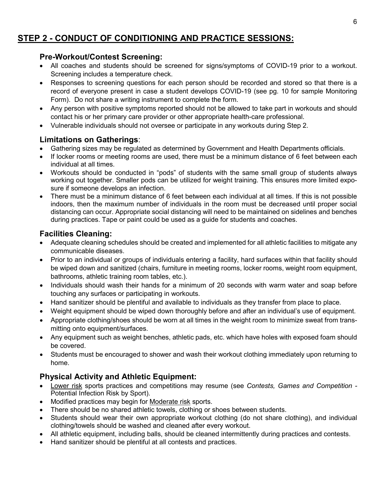# **STEP 2 - CONDUCT OF CONDITIONING AND PRACTICE SESSIONS:**

#### **Pre-Workout/Contest Screening:**

- All coaches and students should be screened for signs/symptoms of COVID-19 prior to a workout. Screening includes a temperature check.
- Responses to screening questions for each person should be recorded and stored so that there is a record of everyone present in case a student develops COVID-19 (see pg. 10 for sample Monitoring Form). Do not share a writing instrument to complete the form.
- Any person with positive symptoms reported should not be allowed to take part in workouts and should contact his or her primary care provider or other appropriate health-care professional.
- Vulnerable individuals should not oversee or participate in any workouts during Step 2.

### **Limitations on Gatherings**:

- Gathering sizes may be regulated as determined by Government and Health Departments officials.
- If locker rooms or meeting rooms are used, there must be a minimum distance of 6 feet between each individual at all times.
- Workouts should be conducted in "pods" of students with the same small group of students always working out together. Smaller pods can be utilized for weight training. This ensures more limited exposure if someone develops an infection.
- There must be a minimum distance of 6 feet between each individual at all times. If this is not possible indoors, then the maximum number of individuals in the room must be decreased until proper social distancing can occur. Appropriate social distancing will need to be maintained on sidelines and benches during practices. Tape or paint could be used as a guide for students and coaches.

### **Facilities Cleaning:**

- Adequate cleaning schedules should be created and implemented for all athletic facilities to mitigate any communicable diseases.
- Prior to an individual or groups of individuals entering a facility, hard surfaces within that facility should be wiped down and sanitized (chairs, furniture in meeting rooms, locker rooms, weight room equipment, bathrooms, athletic training room tables, etc.).
- Individuals should wash their hands for a minimum of 20 seconds with warm water and soap before touching any surfaces or participating in workouts.
- Hand sanitizer should be plentiful and available to individuals as they transfer from place to place.
- Weight equipment should be wiped down thoroughly before and after an individual's use of equipment.
- Appropriate clothing/shoes should be worn at all times in the weight room to minimize sweat from transmitting onto equipment/surfaces.
- Any equipment such as weight benches, athletic pads, etc. which have holes with exposed foam should be covered.
- Students must be encouraged to shower and wash their workout clothing immediately upon returning to home.

## **Physical Activity and Athletic Equipment:**

- Lower risk sports practices and competitions may resume (see *Contests, Games and Competition -* Potential Infection Risk by Sport).
- Modified practices may begin for Moderate risk sports.
- There should be no shared athletic towels, clothing or shoes between students.
- Students should wear their own appropriate workout clothing (do not share clothing), and individual clothing/towels should be washed and cleaned after every workout.
- All athletic equipment, including balls, should be cleaned intermittently during practices and contests.
- Hand sanitizer should be plentiful at all contests and practices.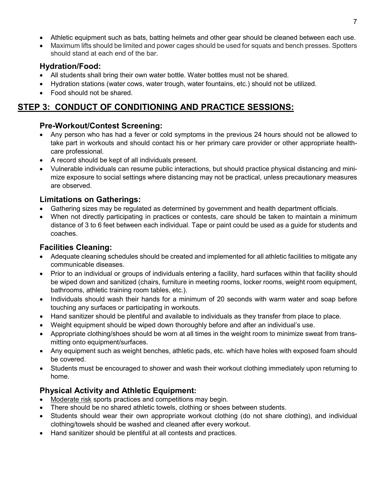- Athletic equipment such as bats, batting helmets and other gear should be cleaned between each use.
- Maximum lifts should be limited and power cages should be used for squats and bench presses. Spotters should stand at each end of the bar.

### **Hydration/Food:**

- All students shall bring their own water bottle. Water bottles must not be shared.
- Hydration stations (water cows, water trough, water fountains, etc.) should not be utilized.
- Food should not be shared.

# **STEP 3: CONDUCT OF CONDITIONING AND PRACTICE SESSIONS:**

## **Pre-Workout/Contest Screening:**

- Any person who has had a fever or cold symptoms in the previous 24 hours should not be allowed to take part in workouts and should contact his or her primary care provider or other appropriate healthcare professional.
- A record should be kept of all individuals present.
- Vulnerable individuals can resume public interactions, but should practice physical distancing and minimize exposure to social settings where distancing may not be practical, unless precautionary measures are observed.

## **Limitations on Gatherings:**

- Gathering sizes may be regulated as determined by government and health department officials.
- When not directly participating in practices or contests, care should be taken to maintain a minimum distance of 3 to 6 feet between each individual. Tape or paint could be used as a guide for students and coaches.

# **Facilities Cleaning:**

- Adequate cleaning schedules should be created and implemented for all athletic facilities to mitigate any communicable diseases.
- Prior to an individual or groups of individuals entering a facility, hard surfaces within that facility should be wiped down and sanitized (chairs, furniture in meeting rooms, locker rooms, weight room equipment, bathrooms, athletic training room tables, etc.).
- Individuals should wash their hands for a minimum of 20 seconds with warm water and soap before touching any surfaces or participating in workouts.
- Hand sanitizer should be plentiful and available to individuals as they transfer from place to place.
- Weight equipment should be wiped down thoroughly before and after an individual's use.
- Appropriate clothing/shoes should be worn at all times in the weight room to minimize sweat from transmitting onto equipment/surfaces.
- Any equipment such as weight benches, athletic pads, etc. which have holes with exposed foam should be covered.
- Students must be encouraged to shower and wash their workout clothing immediately upon returning to home.

# **Physical Activity and Athletic Equipment:**

- Moderate risk sports practices and competitions may begin.
- There should be no shared athletic towels, clothing or shoes between students.
- Students should wear their own appropriate workout clothing (do not share clothing), and individual clothing/towels should be washed and cleaned after every workout.
- Hand sanitizer should be plentiful at all contests and practices.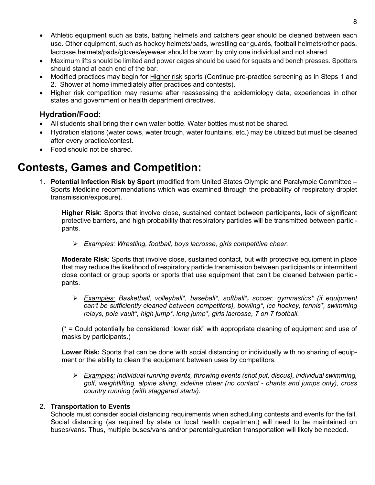- Athletic equipment such as bats, batting helmets and catchers gear should be cleaned between each use. Other equipment, such as hockey helmets/pads, wrestling ear guards, football helmets/other pads, lacrosse helmets/pads/gloves/eyewear should be worn by only one individual and not shared.
- Maximum lifts should be limited and power cages should be used for squats and bench presses. Spotters should stand at each end of the bar.
- Modified practices may begin for Higher risk sports (Continue pre-practice screening as in Steps 1 and 2. Shower at home immediately after practices and contests).
- Higher risk competition may resume after reassessing the epidemiology data, experiences in other states and government or health department directives.

### **Hydration/Food:**

- All students shall bring their own water bottle. Water bottles must not be shared.
- Hydration stations (water cows, water trough, water fountains, etc.) may be utilized but must be cleaned after every practice/contest.
- Food should not be shared.

# **Contests, Games and Competition:**

1. **Potential Infection Risk by Sport** (modified from United States Olympic and Paralympic Committee – Sports Medicine recommendations which was examined through the probability of respiratory droplet transmission/exposure).

**Higher Risk**: Sports that involve close, sustained contact between participants, lack of significant protective barriers, and high probability that respiratory particles will be transmitted between participants.

*Examples: Wrestling, football, boys lacrosse, girls competitive cheer.*

**Moderate Risk**: Sports that involve close, sustained contact, but with protective equipment in place that may reduce the likelihood of respiratory particle transmission between participants or intermittent close contact or group sports or sports that use equipment that can't be cleaned between participants.

 *Examples: Basketball, volleyball\*, baseball\*, softball\*, soccer, gymnastics\* (if equipment can't be sufficiently cleaned between competitors), bowling\*, ice hockey, tennis\*, swimming relays, pole vault\*, high jump\*, long jump\*, girls lacrosse, 7 on 7 football.*

 $(* =$  Could potentially be considered "lower risk" with appropriate cleaning of equipment and use of masks by participants.)

**Lower Risk:** Sports that can be done with social distancing or individually with no sharing of equipment or the ability to clean the equipment between uses by competitors.

 *Examples: Individual running events, throwing events (shot put, discus), individual swimming, golf, weightlifting, alpine skiing, sideline cheer (no contact - chants and jumps only), cross country running (with staggered starts).*

#### 2. **Transportation to Events**

Schools must consider social distancing requirements when scheduling contests and events for the fall. Social distancing (as required by state or local health department) will need to be maintained on buses/vans. Thus, multiple buses/vans and/or parental/guardian transportation will likely be needed.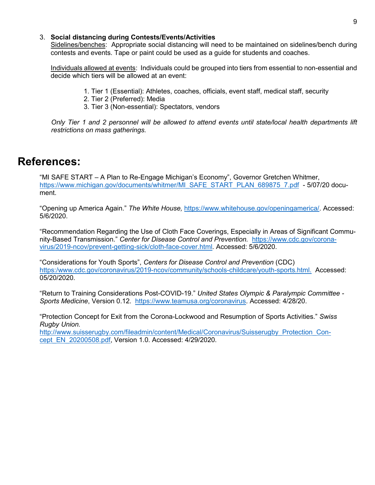#### 3. **Social distancing during Contests/Events/Activities**

Sidelines/benches: Appropriate social distancing will need to be maintained on sidelines/bench during contests and events. Tape or paint could be used as a guide for students and coaches.

Individuals allowed at events:Individuals could be grouped into tiers from essential to non-essential and decide which tiers will be allowed at an event:

- 1. Tier 1 (Essential): Athletes, coaches, officials, event staff, medical staff, security
- 2. Tier 2 (Preferred): Media
- 3. Tier 3 (Non-essential): Spectators, vendors

*Only Tier 1 and 2 personnel will be allowed to attend events until state/local health departments lift restrictions on mass gatherings.*

# **References:**

"MI SAFE START – A Plan to Re-Engage Michigan's Economy", Governor Gretchen Whitmer, [https://www.michigan.gov/documents/whitmer/MI\\_SAFE\\_START\\_PLAN\\_689875\\_7.pdf](https://www.michigan.gov/documents/whitmer/MI_SAFE_START_PLAN_689875_7.pdf) - 5/07/20 document.

"Opening up America Again." *The White House,* [https://www.whitehouse.gov/openingamerica/.](https://www.whitehouse.gov/openingamerica/) Accessed: 5/6/2020.

"Recommendation Regarding the Use of Cloth Face Coverings, Especially in Areas of Significant Community-Based Transmission." *Center for Disease Control and Prevention.* [https://www.cdc.gov/corona](https://www.cdc.gov/coronavirus/2019-ncov/prevent-getting-sick/cloth-face-cover.html)[virus/2019-ncov/prevent-getting-sick/cloth-face-cover.html.](https://www.cdc.gov/coronavirus/2019-ncov/prevent-getting-sick/cloth-face-cover.html) Accessed: 5/6/2020.

"Considerations for Youth Sports", *Centers for Disease Control and Prevention* (CDC) [https:/www.cdc.gov/coronavirus/2019-ncov/community/schools-childcare/youth-sports.html.](https://link.edgepilot.com/s/1691370d/7BesieRdhEG5VGqr57AATQ?u=https://www.cdc.gov/coronavirus/2019-ncov/community/schools-childcare/youth-sports.html) Accessed: 05/20/2020.

"Return to Training Considerations Post-COVID-19." *United States Olympic & Paralympic Committee - Sports Medicine*, Version 0.12. [https://www.teamusa.org/coronavirus.](https://www.teamusa.org/coronavirus) Accessed: 4/28/20.

"Protection Concept for Exit from the Corona-Lockwood and Resumption of Sports Activities." *Swiss Rugby Union.*

[http://www.suisserugby.com/fileadmin/content/Medical/Coronavirus/Suisserugby\\_Protection\\_Con](http://www.suisserugby.com/fileadmin/content/Medical/Coronavirus/Suisserugby_Protection_Concept_EN_20200508.pdf)[cept\\_EN\\_20200508.pdf,](http://www.suisserugby.com/fileadmin/content/Medical/Coronavirus/Suisserugby_Protection_Concept_EN_20200508.pdf) Version 1.0. Accessed: 4/29/2020.